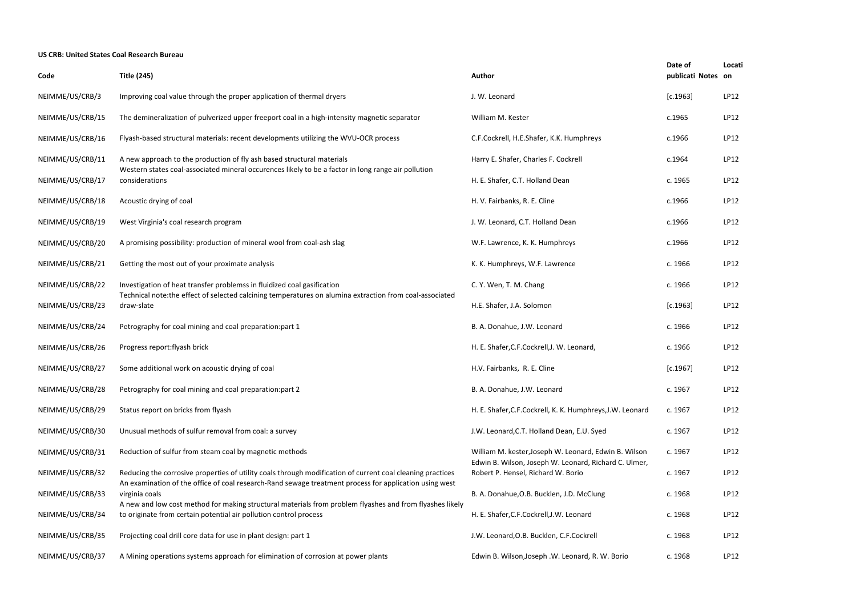## **US CRB: United States Coal Research Bureau**

| Date of<br>publicati Notes | Locati<br>on |
|----------------------------|--------------|
| [c.1963]                   | LP12         |
| c.1965                     | LP12         |
| c.1966                     | LP12         |
| c.1964                     | LP12         |
| c. 1965                    | LP12         |
| c.1966                     | LP12         |
| c.1966                     | LP12         |
| c.1966                     | LP12         |
| c. 1966                    | LP12         |
| c. 1966                    | LP12         |
| [c.1963]                   | LP12         |
| c. 1966                    | LP12         |
| c. 1966                    | LP12         |
| [c.1967]                   | LP12         |
| c. 1967                    | LP12         |
| c. 1967                    | LP12         |
| c. 1967                    | LP12         |
| c. 1967                    | LP12         |
| c. 1967                    | LP12         |
| c. 1968                    | LP12         |
| c. 1968                    | LP12         |
| c. 1968                    | LP12         |
| c. 1968                    | LP12         |

| Code             | <b>Title (245)</b>                                                                                                                                                                                                   | <b>Author</b>                                                                                                  | publicati Notes on |      |
|------------------|----------------------------------------------------------------------------------------------------------------------------------------------------------------------------------------------------------------------|----------------------------------------------------------------------------------------------------------------|--------------------|------|
| NEIMME/US/CRB/3  | Improving coal value through the proper application of thermal dryers                                                                                                                                                | J. W. Leonard                                                                                                  | [c.1963]           | LP12 |
| NEIMME/US/CRB/15 | The demineralization of pulverized upper freeport coal in a high-intensity magnetic separator                                                                                                                        | William M. Kester                                                                                              | c.1965             | LP12 |
| NEIMME/US/CRB/16 | Flyash-based structural materials: recent developments utilizing the WVU-OCR process                                                                                                                                 | C.F.Cockrell, H.E.Shafer, K.K. Humphreys                                                                       | c.1966             | LP12 |
| NEIMME/US/CRB/11 | A new approach to the production of fly ash based structural materials                                                                                                                                               | Harry E. Shafer, Charles F. Cockrell                                                                           | c.1964             | LP12 |
| NEIMME/US/CRB/17 | Western states coal-associated mineral occurences likely to be a factor in long range air pollution<br>considerations                                                                                                | H. E. Shafer, C.T. Holland Dean                                                                                | c. 1965            | LP12 |
| NEIMME/US/CRB/18 | Acoustic drying of coal                                                                                                                                                                                              | H. V. Fairbanks, R. E. Cline                                                                                   | c.1966             | LP12 |
| NEIMME/US/CRB/19 | West Virginia's coal research program                                                                                                                                                                                | J. W. Leonard, C.T. Holland Dean                                                                               | c.1966             | LP12 |
| NEIMME/US/CRB/20 | A promising possibility: production of mineral wool from coal-ash slag                                                                                                                                               | W.F. Lawrence, K. K. Humphreys                                                                                 | c.1966             | LP12 |
| NEIMME/US/CRB/21 | Getting the most out of your proximate analysis                                                                                                                                                                      | K. K. Humphreys, W.F. Lawrence                                                                                 | c. 1966            | LP12 |
| NEIMME/US/CRB/22 | Investigation of heat transfer problemss in fluidized coal gasification                                                                                                                                              | C. Y. Wen, T. M. Chang                                                                                         | c. 1966            | LP12 |
| NEIMME/US/CRB/23 | Technical note: the effect of selected calcining temperatures on alumina extraction from coal-associated<br>draw-slate                                                                                               | H.E. Shafer, J.A. Solomon                                                                                      | [c.1963]           | LP12 |
| NEIMME/US/CRB/24 | Petrography for coal mining and coal preparation: part 1                                                                                                                                                             | B. A. Donahue, J.W. Leonard                                                                                    | c. 1966            | LP12 |
| NEIMME/US/CRB/26 | Progress report: flyash brick                                                                                                                                                                                        | H. E. Shafer, C.F. Cockrell, J. W. Leonard,                                                                    | c. 1966            | LP12 |
| NEIMME/US/CRB/27 | Some additional work on acoustic drying of coal                                                                                                                                                                      | H.V. Fairbanks, R. E. Cline                                                                                    | [c.1967]           | LP12 |
| NEIMME/US/CRB/28 | Petrography for coal mining and coal preparation: part 2                                                                                                                                                             | B. A. Donahue, J.W. Leonard                                                                                    | c. 1967            | LP12 |
| NEIMME/US/CRB/29 | Status report on bricks from flyash                                                                                                                                                                                  | H. E. Shafer, C.F. Cockrell, K. K. Humphreys, J.W. Leonard                                                     | c. 1967            | LP12 |
| NEIMME/US/CRB/30 | Unusual methods of sulfur removal from coal: a survey                                                                                                                                                                | J.W. Leonard, C.T. Holland Dean, E.U. Syed                                                                     | c. 1967            | LP12 |
| NEIMME/US/CRB/31 | Reduction of sulfur from steam coal by magnetic methods                                                                                                                                                              | William M. kester, Joseph W. Leonard, Edwin B. Wilson<br>Edwin B. Wilson, Joseph W. Leonard, Richard C. Ulmer, | c. 1967            | LP12 |
| NEIMME/US/CRB/32 | Reducing the corrosive properties of utility coals through modification of current coal cleaning practices<br>An examination of the office of coal research-Rand sewage treatment process for application using west | Robert P. Hensel, Richard W. Borio                                                                             | c. 1967            | LP12 |
| NEIMME/US/CRB/33 | virginia coals<br>A new and low cost method for making structural materials from problem flyashes and from flyashes likely                                                                                           | B. A. Donahue, O.B. Bucklen, J.D. McClung                                                                      | c. 1968            | LP12 |
| NEIMME/US/CRB/34 | to originate from certain potential air pollution control process                                                                                                                                                    | H. E. Shafer, C.F. Cockrell, J.W. Leonard                                                                      | c. 1968            | LP12 |
| NEIMME/US/CRB/35 | Projecting coal drill core data for use in plant design: part 1                                                                                                                                                      | J.W. Leonard, O.B. Bucklen, C.F. Cockrell                                                                      | c. 1968            | LP12 |
| NEIMME/US/CRB/37 | A Mining operations systems approach for elimination of corrosion at power plants                                                                                                                                    | Edwin B. Wilson, Joseph .W. Leonard, R. W. Borio                                                               | c. 1968            | LP12 |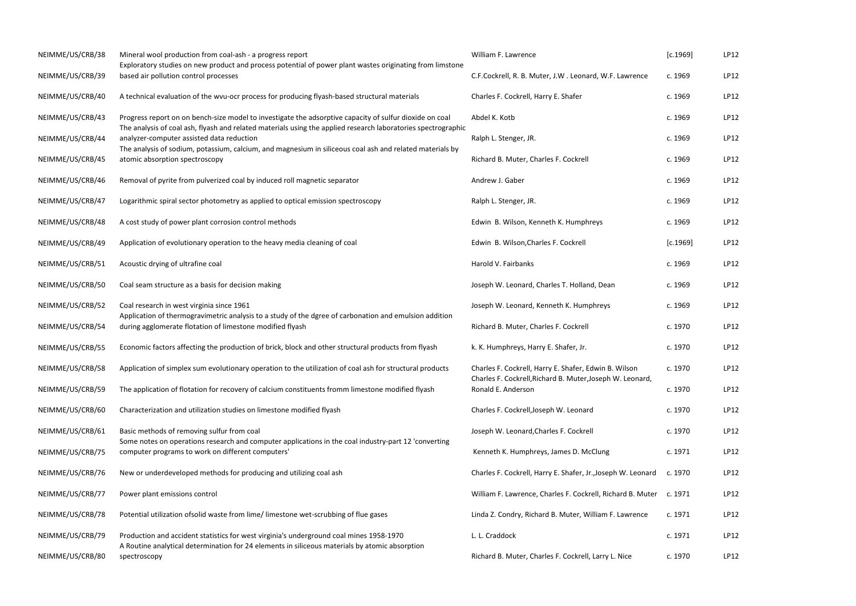| NEIMME/US/CRB/38 | Mineral wool production from coal-ash - a progress report<br>Exploratory studies on new product and process potential of power plant wastes originating from limstone                                                    | William F. Lawrence                                                                                                | [c.1969] | LP12 |
|------------------|--------------------------------------------------------------------------------------------------------------------------------------------------------------------------------------------------------------------------|--------------------------------------------------------------------------------------------------------------------|----------|------|
| NEIMME/US/CRB/39 | based air pollution control processes                                                                                                                                                                                    | C.F.Cockrell, R. B. Muter, J.W. Leonard, W.F. Lawrence                                                             | c. 1969  | LP12 |
| NEIMME/US/CRB/40 | A technical evaluation of the wvu-ocr process for producing flyash-based structural materials                                                                                                                            | Charles F. Cockrell, Harry E. Shafer                                                                               | c. 1969  | LP12 |
| NEIMME/US/CRB/43 | Progress report on on bench-size model to investigate the adsorptive capacity of sulfur dioxide on coal<br>The analysis of coal ash, flyash and related materials using the applied research laboratories spectrographic | Abdel K. Kotb                                                                                                      | c. 1969  | LP12 |
| NEIMME/US/CRB/44 | analyzer-computer assisted data reduction<br>The analysis of sodium, potassium, calcium, and magnesium in siliceous coal ash and related materials by                                                                    | Ralph L. Stenger, JR.                                                                                              | c. 1969  | LP12 |
| NEIMME/US/CRB/45 | atomic absorption spectroscopy                                                                                                                                                                                           | Richard B. Muter, Charles F. Cockrell                                                                              | c. 1969  | LP12 |
| NEIMME/US/CRB/46 | Removal of pyrite from pulverized coal by induced roll magnetic separator                                                                                                                                                | Andrew J. Gaber                                                                                                    | c. 1969  | LP12 |
| NEIMME/US/CRB/47 | Logarithmic spiral sector photometry as applied to optical emission spectroscopy                                                                                                                                         | Ralph L. Stenger, JR.                                                                                              | c. 1969  | LP12 |
| NEIMME/US/CRB/48 | A cost study of power plant corrosion control methods                                                                                                                                                                    | Edwin B. Wilson, Kenneth K. Humphreys                                                                              | c. 1969  | LP12 |
| NEIMME/US/CRB/49 | Application of evolutionary operation to the heavy media cleaning of coal                                                                                                                                                | Edwin B. Wilson, Charles F. Cockrell                                                                               | [c.1969] | LP12 |
| NEIMME/US/CRB/51 | Acoustic drying of ultrafine coal                                                                                                                                                                                        | Harold V. Fairbanks                                                                                                | c. 1969  | LP12 |
| NEIMME/US/CRB/50 | Coal seam structure as a basis for decision making                                                                                                                                                                       | Joseph W. Leonard, Charles T. Holland, Dean                                                                        | c. 1969  | LP12 |
| NEIMME/US/CRB/52 | Coal research in west virginia since 1961<br>Application of thermogravimetric analysis to a study of the dgree of carbonation and emulsion addition                                                                      | Joseph W. Leonard, Kenneth K. Humphreys                                                                            | c. 1969  | LP12 |
| NEIMME/US/CRB/54 | during agglomerate flotation of limestone modified flyash                                                                                                                                                                | Richard B. Muter, Charles F. Cockrell                                                                              | c. 1970  | LP12 |
| NEIMME/US/CRB/55 | Economic factors affecting the production of brick, block and other structural products from flyash                                                                                                                      | k. K. Humphreys, Harry E. Shafer, Jr.                                                                              | c. 1970  | LP12 |
| NEIMME/US/CRB/58 | Application of simplex sum evolutionary operation to the utilization of coal ash for structural products                                                                                                                 | Charles F. Cockrell, Harry E. Shafer, Edwin B. Wilson<br>Charles F. Cockrell, Richard B. Muter, Joseph W. Leonard, | c. 1970  | LP12 |
| NEIMME/US/CRB/59 | The application of flotation for recovery of calcium constituents fromm limestone modified flyash                                                                                                                        | Ronald E. Anderson                                                                                                 | c. 1970  | LP12 |
| NEIMME/US/CRB/60 | Characterization and utilization studies on limestone modified flyash                                                                                                                                                    | Charles F. Cockrell, Joseph W. Leonard                                                                             | c. 1970  | LP12 |
| NEIMME/US/CRB/61 | Basic methods of removing sulfur from coal<br>Some notes on operations research and computer applications in the coal industry-part 12 'converting                                                                       | Joseph W. Leonard, Charles F. Cockrell                                                                             | c. 1970  | LP12 |
| NEIMME/US/CRB/75 | computer programs to work on different computers'                                                                                                                                                                        | Kenneth K. Humphreys, James D. McClung                                                                             | c. 1971  | LP12 |
| NEIMME/US/CRB/76 | New or underdeveloped methods for producing and utilizing coal ash                                                                                                                                                       | Charles F. Cockrell, Harry E. Shafer, Jr., Joseph W. Leonard                                                       | c. 1970  | LP12 |
| NEIMME/US/CRB/77 | Power plant emissions control                                                                                                                                                                                            | William F. Lawrence, Charles F. Cockrell, Richard B. Muter                                                         | c. 1971  | LP12 |
| NEIMME/US/CRB/78 | Potential utilization of solid waste from lime/ limestone wet-scrubbing of flue gases                                                                                                                                    | Linda Z. Condry, Richard B. Muter, William F. Lawrence                                                             | c. 1971  | LP12 |
| NEIMME/US/CRB/79 | Production and accident statistics for west virginia's underground coal mines 1958-1970<br>A Routine analytical determination for 24 elements in siliceous materials by atomic absorption                                | L. L. Craddock                                                                                                     | c. 1971  | LP12 |
| NEIMME/US/CRB/80 | spectroscopy                                                                                                                                                                                                             | Richard B. Muter, Charles F. Cockrell, Larry L. Nice                                                               | c. 1970  | LP12 |

|                                                | [c.1969] | LP12 |
|------------------------------------------------|----------|------|
| onard, W.F. Lawrence                           | c. 1969  | LP12 |
| er                                             | c. 1969  | LP12 |
|                                                | c. 1969  | LP12 |
|                                                | c. 1969  | LP12 |
| crell                                          | c. 1969  | LP12 |
|                                                | c. 1969  | LP12 |
|                                                | c. 1969  | LP12 |
| nphreys                                        | c. 1969  | LP12 |
| ell                                            | [c.1969] | LP12 |
|                                                | c. 1969  | LP12 |
| olland, Dean                                   | c. 1969  | LP12 |
| lumphreys                                      | c. 1969  | LP12 |
| crell                                          | c. 1970  | LP12 |
| , Jr.                                          | c. 1970  | LP12 |
| er, Edwin B. Wilson<br>ter, Joseph W. Leonard, | c. 1970  | LP12 |
|                                                | c. 1970  | LP12 |
| onard                                          | c. 1970  | LP12 |
| ckrell                                         | c. 1970  | LP12 |
| . McClung                                      | c. 1971  | LP12 |
| er, Jr.,Joseph W. Leonard c. 1970              |          | LP12 |
| ockrell, Richard B. Muter c. 1971              |          | LP12 |
| r, William F. Lawrence                         | c. 1971  | LP12 |
|                                                | c. 1971  | LP12 |
| crell, Larry L. Nice                           | c. 1970  | LP12 |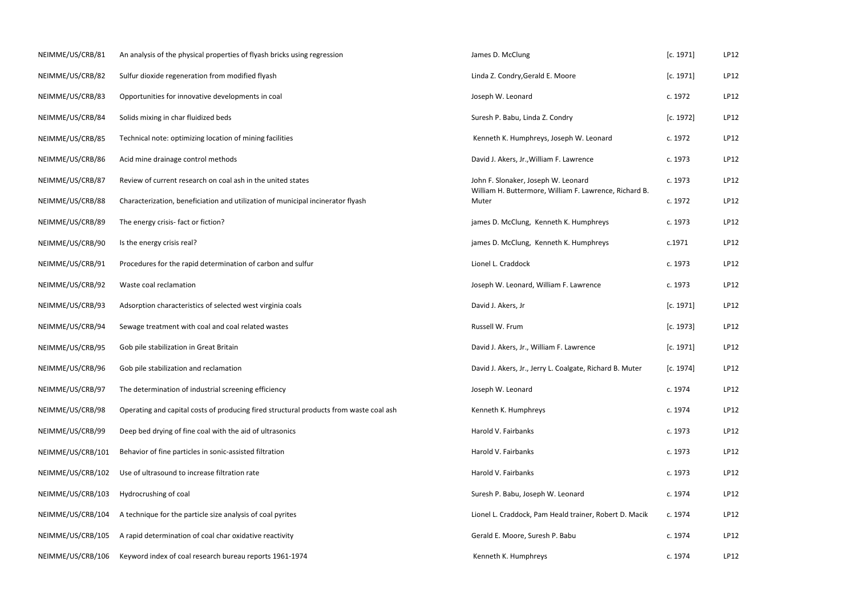| NEIMME/US/CRB/81  | An analysis of the physical properties of flyash bricks using regression               | James D. McClung                                                                              | [c. 1971] | LP12 |
|-------------------|----------------------------------------------------------------------------------------|-----------------------------------------------------------------------------------------------|-----------|------|
| NEIMME/US/CRB/82  | Sulfur dioxide regeneration from modified flyash                                       | Linda Z. Condry, Gerald E. Moore                                                              | [c. 1971] | LP12 |
| NEIMME/US/CRB/83  | Opportunities for innovative developments in coal                                      | Joseph W. Leonard                                                                             | c. 1972   | LP12 |
| NEIMME/US/CRB/84  | Solids mixing in char fluidized beds                                                   | Suresh P. Babu, Linda Z. Condry                                                               | [c. 1972] | LP12 |
| NEIMME/US/CRB/85  | Technical note: optimizing location of mining facilities                               | Kenneth K. Humphreys, Joseph W. Leonard                                                       | c. 1972   | LP12 |
| NEIMME/US/CRB/86  | Acid mine drainage control methods                                                     | David J. Akers, Jr., William F. Lawrence                                                      | c. 1973   | LP12 |
| NEIMME/US/CRB/87  | Review of current research on coal ash in the united states                            | John F. Slonaker, Joseph W. Leonard<br>William H. Buttermore, William F. Lawrence, Richard B. | c. 1973   | LP12 |
| NEIMME/US/CRB/88  | Characterization, beneficiation and utilization of municipal incinerator flyash        | Muter                                                                                         | c. 1972   | LP12 |
| NEIMME/US/CRB/89  | The energy crisis- fact or fiction?                                                    | james D. McClung, Kenneth K. Humphreys                                                        | c. 1973   | LP12 |
| NEIMME/US/CRB/90  | Is the energy crisis real?                                                             | james D. McClung, Kenneth K. Humphreys                                                        | c.1971    | LP12 |
| NEIMME/US/CRB/91  | Procedures for the rapid determination of carbon and sulfur                            | Lionel L. Craddock                                                                            | c. 1973   | LP12 |
| NEIMME/US/CRB/92  | Waste coal reclamation                                                                 | Joseph W. Leonard, William F. Lawrence                                                        | c. 1973   | LP12 |
| NEIMME/US/CRB/93  | Adsorption characteristics of selected west virginia coals                             | David J. Akers, Jr                                                                            | [c. 1971] | LP12 |
| NEIMME/US/CRB/94  | Sewage treatment with coal and coal related wastes                                     | Russell W. Frum                                                                               | [c. 1973] | LP12 |
| NEIMME/US/CRB/95  | Gob pile stabilization in Great Britain                                                | David J. Akers, Jr., William F. Lawrence                                                      | [c. 1971] | LP12 |
| NEIMME/US/CRB/96  | Gob pile stabilization and reclamation                                                 | David J. Akers, Jr., Jerry L. Coalgate, Richard B. Muter                                      | [c. 1974] | LP12 |
| NEIMME/US/CRB/97  | The determination of industrial screening efficiency                                   | Joseph W. Leonard                                                                             | c. 1974   | LP12 |
| NEIMME/US/CRB/98  | Operating and capital costs of producing fired structural products from waste coal ash | Kenneth K. Humphreys                                                                          | c. 1974   | LP12 |
| NEIMME/US/CRB/99  | Deep bed drying of fine coal with the aid of ultrasonics                               | Harold V. Fairbanks                                                                           | c. 1973   | LP12 |
| NEIMME/US/CRB/101 | Behavior of fine particles in sonic-assisted filtration                                | Harold V. Fairbanks                                                                           | c. 1973   | LP12 |
| NEIMME/US/CRB/102 | Use of ultrasound to increase filtration rate                                          | Harold V. Fairbanks                                                                           | c. 1973   | LP12 |
| NEIMME/US/CRB/103 | Hydrocrushing of coal                                                                  | Suresh P. Babu, Joseph W. Leonard                                                             | c. 1974   | LP12 |
| NEIMME/US/CRB/104 | A technique for the particle size analysis of coal pyrites                             | Lionel L. Craddock, Pam Heald trainer, Robert D. Macik                                        | c. 1974   | LP12 |
| NEIMME/US/CRB/105 | A rapid determination of coal char oxidative reactivity                                | Gerald E. Moore, Suresh P. Babu                                                               | c. 1974   | LP12 |
| NEIMME/US/CRB/106 | Keyword index of coal research bureau reports 1961-1974                                | Kenneth K. Humphreys                                                                          | c. 1974   | LP12 |

|       | [c. 1971] | LP12        |
|-------|-----------|-------------|
|       | [c. 1971] | LP12        |
|       | c. 1972   | LP12        |
|       | [c. 1972] | LP12        |
|       | c. 1972   | LP12        |
|       | c. 1973   | LP12        |
|       | c. 1973   | LP12        |
| rd B. | c. 1972   | LP12        |
|       | c. 1973   | LP12        |
|       | c.1971    | LP12        |
|       | c. 1973   | <b>LP12</b> |
|       | c. 1973   | LP12        |
|       | [c. 1971] | LP12        |
|       | [c. 1973] | <b>LP12</b> |
|       | [c. 1971] | LP12        |
| ter   | [c. 1974] | LP12        |
|       | c. 1974   | LP12        |
|       | c. 1974   | LP12        |
|       | c. 1973   | LP12        |
|       | c. 1973   | LP12        |
|       | c. 1973   | LP12        |
|       | c. 1974   | LP12        |
| 1acik | c. 1974   | LP12        |
|       | c. 1974   | LP12        |
|       | c. 1974   | <b>LP12</b> |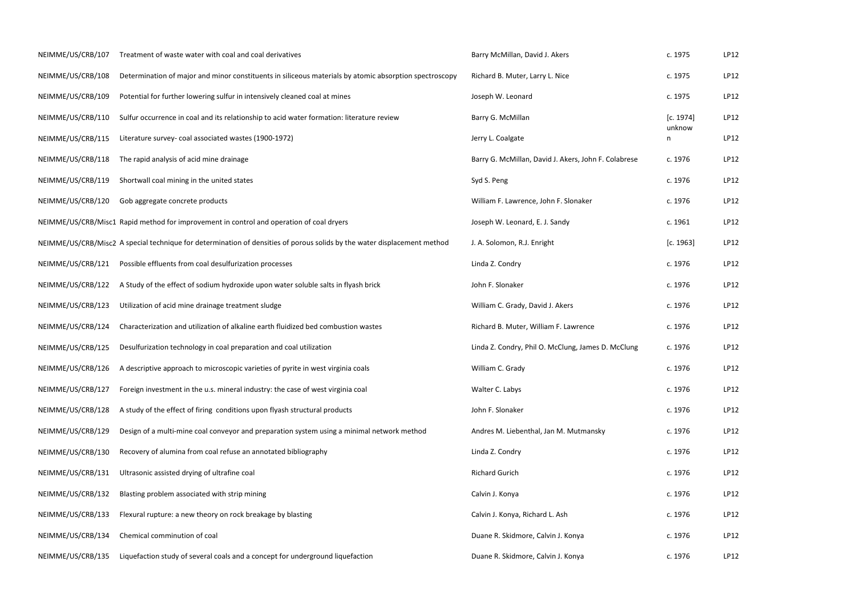| c. 1975     | LP12 |
|-------------|------|
| c. 1975     | LP12 |
| c. 1975     | LP12 |
| [c. 1974]   | LP12 |
| unknow<br>n | LP12 |
| c. 1976     | LP12 |
| c. 1976     | LP12 |
| c. 1976     | LP12 |
| c. 1961     | LP12 |
| [c. 1963]   | LP12 |
| c. 1976     | LP12 |
| c. 1976     | LP12 |
| c. 1976     | LP12 |
| c. 1976     | LP12 |
| c. 1976     | LP12 |
| c. 1976     | LP12 |
| c. 1976     | LP12 |
| c. 1976     | LP12 |
| c. 1976     | LP12 |
| c. 1976     | LP12 |
| c. 1976     | LP12 |
| c. 1976     | LP12 |
| c. 1976     | LP12 |
| c. 1976     | LP12 |
| c. 1976     | LP12 |

| NEIMME/US/CRB/107 | Treatment of waste water with coal and coal derivatives                                                                  | Barry McMillan, David J. Akers                       | c. 1975             | LP12 |
|-------------------|--------------------------------------------------------------------------------------------------------------------------|------------------------------------------------------|---------------------|------|
| NEIMME/US/CRB/108 | Determination of major and minor constituents in siliceous materials by atomic absorption spectroscopy                   | Richard B. Muter, Larry L. Nice                      | c. 1975             | LP12 |
| NEIMME/US/CRB/109 | Potential for further lowering sulfur in intensively cleaned coal at mines                                               | Joseph W. Leonard                                    | c. 1975             | LP12 |
| NEIMME/US/CRB/110 | Sulfur occurrence in coal and its relationship to acid water formation: literature review                                | Barry G. McMillan                                    | [c. 1974]<br>unknow | LP12 |
| NEIMME/US/CRB/115 | Literature survey- coal associated wastes (1900-1972)                                                                    | Jerry L. Coalgate                                    | n                   | LP12 |
| NEIMME/US/CRB/118 | The rapid analysis of acid mine drainage                                                                                 | Barry G. McMillan, David J. Akers, John F. Colabrese | c. 1976             | LP12 |
| NEIMME/US/CRB/119 | Shortwall coal mining in the united states                                                                               | Syd S. Peng                                          | c. 1976             | LP12 |
| NEIMME/US/CRB/120 | Gob aggregate concrete products                                                                                          | William F. Lawrence, John F. Slonaker                | c. 1976             | LP12 |
|                   | NEIMME/US/CRB/Misc1 Rapid method for improvement in control and operation of coal dryers                                 | Joseph W. Leonard, E. J. Sandy                       | c. 1961             | LP12 |
|                   | NEIMME/US/CRB/Misc2 A special technique for determination of densities of porous solids by the water displacement method | J. A. Solomon, R.J. Enright                          | [c. 1963]           | LP12 |
| NEIMME/US/CRB/121 | Possible effluents from coal desulfurization processes                                                                   | Linda Z. Condry                                      | c. 1976             | LP12 |
| NEIMME/US/CRB/122 | A Study of the effect of sodium hydroxide upon water soluble salts in flyash brick                                       | John F. Slonaker                                     | c. 1976             | LP12 |
| NEIMME/US/CRB/123 | Utilization of acid mine drainage treatment sludge                                                                       | William C. Grady, David J. Akers                     | c. 1976             | LP12 |
| NEIMME/US/CRB/124 | Characterization and utilization of alkaline earth fluidized bed combustion wastes                                       | Richard B. Muter, William F. Lawrence                | c. 1976             | LP12 |
| NEIMME/US/CRB/125 | Desulfurization technology in coal preparation and coal utilization                                                      | Linda Z. Condry, Phil O. McClung, James D. McClung   | c. 1976             | LP12 |
| NEIMME/US/CRB/126 | A descriptive approach to microscopic varieties of pyrite in west virginia coals                                         | William C. Grady                                     | c. 1976             | LP12 |
| NEIMME/US/CRB/127 | Foreign investment in the u.s. mineral industry: the case of west virginia coal                                          | Walter C. Labys                                      | c. 1976             | LP12 |
| NEIMME/US/CRB/128 | A study of the effect of firing conditions upon flyash structural products                                               | John F. Slonaker                                     | c. 1976             | LP12 |
| NEIMME/US/CRB/129 | Design of a multi-mine coal conveyor and preparation system using a minimal network method                               | Andres M. Liebenthal, Jan M. Mutmansky               | c. 1976             | LP12 |
| NEIMME/US/CRB/130 | Recovery of alumina from coal refuse an annotated bibliography                                                           | Linda Z. Condry                                      | c. 1976             | LP12 |
| NEIMME/US/CRB/131 | Ultrasonic assisted drying of ultrafine coal                                                                             | <b>Richard Gurich</b>                                | c. 1976             | LP12 |
| NEIMME/US/CRB/132 | Blasting problem associated with strip mining                                                                            | Calvin J. Konya                                      | c. 1976             | LP12 |
| NEIMME/US/CRB/133 | Flexural rupture: a new theory on rock breakage by blasting                                                              | Calvin J. Konya, Richard L. Ash                      | c. 1976             | LP12 |
| NEIMME/US/CRB/134 | Chemical comminution of coal                                                                                             | Duane R. Skidmore, Calvin J. Konya                   | c. 1976             | LP12 |
| NEIMME/US/CRB/135 | Liquefaction study of several coals and a concept for underground liquefaction                                           | Duane R. Skidmore, Calvin J. Konya                   | c. 1976             | LP12 |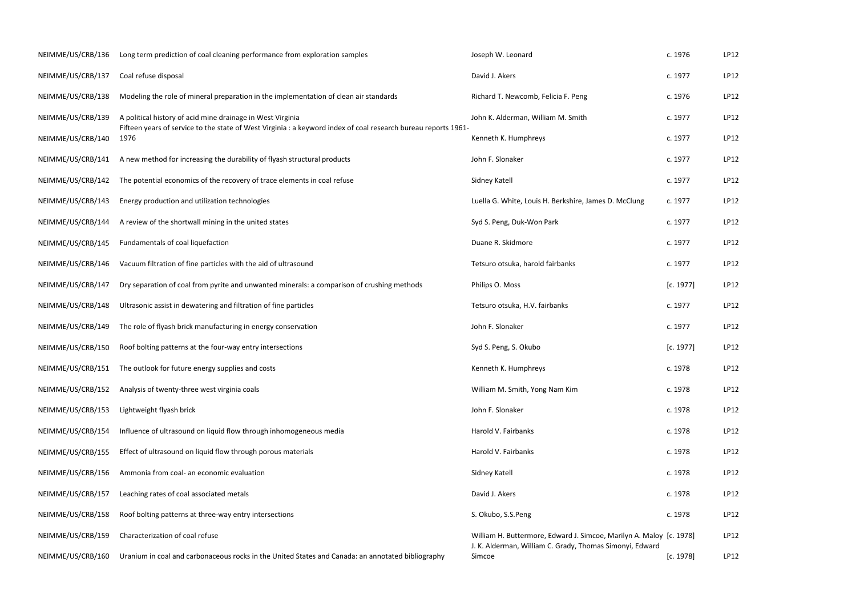| NEIMME/US/CRB/136 | Long term prediction of coal cleaning performance from exploration samples                                                                                                   | Joseph W. Leonard                                                                                                               | c. 1976   | LP12 |
|-------------------|------------------------------------------------------------------------------------------------------------------------------------------------------------------------------|---------------------------------------------------------------------------------------------------------------------------------|-----------|------|
| NEIMME/US/CRB/137 | Coal refuse disposal                                                                                                                                                         | David J. Akers                                                                                                                  | c. 1977   | LP12 |
| NEIMME/US/CRB/138 | Modeling the role of mineral preparation in the implementation of clean air standards                                                                                        | Richard T. Newcomb, Felicia F. Peng                                                                                             | c. 1976   | LP12 |
| NEIMME/US/CRB/139 | A political history of acid mine drainage in West Virginia<br>Fifteen years of service to the state of West Virginia : a keyword index of coal research bureau reports 1961- | John K. Alderman, William M. Smith                                                                                              | c. 1977   | LP12 |
| NEIMME/US/CRB/140 | 1976                                                                                                                                                                         | Kenneth K. Humphreys                                                                                                            | c. 1977   | LP12 |
| NEIMME/US/CRB/141 | A new method for increasing the durability of flyash structural products                                                                                                     | John F. Slonaker                                                                                                                | c. 1977   | LP12 |
| NEIMME/US/CRB/142 | The potential economics of the recovery of trace elements in coal refuse                                                                                                     | Sidney Katell                                                                                                                   | c. 1977   | LP12 |
| NEIMME/US/CRB/143 | Energy production and utilization technologies                                                                                                                               | Luella G. White, Louis H. Berkshire, James D. McClung                                                                           | c. 1977   | LP12 |
| NEIMME/US/CRB/144 | A review of the shortwall mining in the united states                                                                                                                        | Syd S. Peng, Duk-Won Park                                                                                                       | c. 1977   | LP12 |
| NEIMME/US/CRB/145 | Fundamentals of coal liquefaction                                                                                                                                            | Duane R. Skidmore                                                                                                               | c. 1977   | LP12 |
| NEIMME/US/CRB/146 | Vacuum filtration of fine particles with the aid of ultrasound                                                                                                               | Tetsuro otsuka, harold fairbanks                                                                                                | c. 1977   | LP12 |
| NEIMME/US/CRB/147 | Dry separation of coal from pyrite and unwanted minerals: a comparison of crushing methods                                                                                   | Philips O. Moss                                                                                                                 | [c. 1977] | LP12 |
| NEIMME/US/CRB/148 | Ultrasonic assist in dewatering and filtration of fine particles                                                                                                             | Tetsuro otsuka, H.V. fairbanks                                                                                                  | c. 1977   | LP12 |
| NEIMME/US/CRB/149 | The role of flyash brick manufacturing in energy conservation                                                                                                                | John F. Slonaker                                                                                                                | c. 1977   | LP12 |
| NEIMME/US/CRB/150 | Roof bolting patterns at the four-way entry intersections                                                                                                                    | Syd S. Peng, S. Okubo                                                                                                           | [c. 1977] | LP12 |
| NEIMME/US/CRB/151 | The outlook for future energy supplies and costs                                                                                                                             | Kenneth K. Humphreys                                                                                                            | c. 1978   | LP12 |
| NEIMME/US/CRB/152 | Analysis of twenty-three west virginia coals                                                                                                                                 | William M. Smith, Yong Nam Kim                                                                                                  | c. 1978   | LP12 |
| NEIMME/US/CRB/153 | Lightweight flyash brick                                                                                                                                                     | John F. Slonaker                                                                                                                | c. 1978   | LP12 |
| NEIMME/US/CRB/154 | Influence of ultrasound on liquid flow through inhomogeneous media                                                                                                           | Harold V. Fairbanks                                                                                                             | c. 1978   | LP12 |
| NEIMME/US/CRB/155 | Effect of ultrasound on liquid flow through porous materials                                                                                                                 | Harold V. Fairbanks                                                                                                             | c. 1978   | LP12 |
| NEIMME/US/CRB/156 | Ammonia from coal- an economic evaluation                                                                                                                                    | Sidney Katell                                                                                                                   | c. 1978   | LP12 |
| NEIMME/US/CRB/157 | Leaching rates of coal associated metals                                                                                                                                     | David J. Akers                                                                                                                  | c. 1978   | LP12 |
| NEIMME/US/CRB/158 | Roof bolting patterns at three-way entry intersections                                                                                                                       | S. Okubo, S.S.Peng                                                                                                              | c. 1978   | LP12 |
| NEIMME/US/CRB/159 | Characterization of coal refuse                                                                                                                                              | William H. Buttermore, Edward J. Simcoe, Marilyn A. Maloy [c. 1978]<br>J. K. Alderman, William C. Grady, Thomas Simonyi, Edward |           | LP12 |
| NEIMME/US/CRB/160 | Uranium in coal and carbonaceous rocks in the United States and Canada: an annotated bibliography                                                                            | Simcoe                                                                                                                          | [c. 1978] | LP12 |

|        | c. 1976            | LP12        |
|--------|--------------------|-------------|
|        | c. 1977            | LP12        |
|        | c. 1976            | LP12        |
|        | c. 1977            | LP12        |
|        | c. 1977            | LP12        |
|        | c. 1977            | LP12        |
|        | c. 1977            | LP12        |
| ng     | c. 1977            | LP12        |
|        | c. 1977            | <b>LP12</b> |
|        | c. 1977            | <b>LP12</b> |
|        | c. 1977            | LP12        |
|        | [c. 1977]          | LP12        |
|        | c. 1977            | LP12        |
|        | c. 1977            | LP12        |
|        | [c. 1977]          | LP12        |
|        | c. 1978            | LP12        |
|        | c. 1978            | LP12        |
|        | c. 1978            | LP12        |
|        | c. 1978            | LP12        |
|        | c. 1978            | LP12        |
|        | c. 1978            | LP12        |
|        | c. 1978            | LP12        |
|        | c. 1978            | LP12        |
| Edward | A. Maloy [c. 1978] | LP12        |
|        | [c. 1978]          | LP12        |